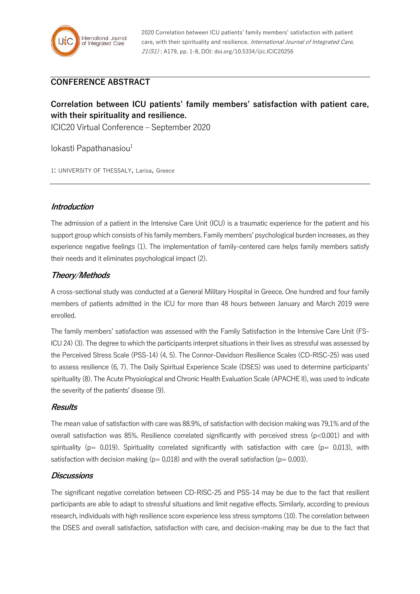2020 Correlation between ICU patients' family members' satisfaction with patient care, with their spirituality and resilience. International Journal of Integrated Care, 21(S1) : A179, pp. 1-8, DOI: doi.org/10.5334/ijic.ICIC20256

# **CONFERENCE ABSTRACT**

# **Correlation between ICU patients' family members' satisfaction with patient care, with their spirituality and resilience.**

ICIC20 Virtual Conference – September 2020

 $lokasti$  Papathanasiou $<sup>1</sup>$ </sup>

1: UNIVERSITY OF THESSALY, Larisa, Greece

## **Introduction**

The admission of a patient in the Intensive Care Unit (ICU) is a traumatic experience for the patient and his support group which consists of his family members. Family members' psychological burden increases, as they experience negative feelings (1). The implementation of family-centered care helps family members satisfy their needs and it eliminates psychological impact (2).

# **Theory/Methods**

A cross-sectional study was conducted at a General Military Hospital in Greece. One hundred and four family members of patients admitted in the ICU for more than 48 hours between January and March 2019 were enrolled.

The family members' satisfaction was assessed with the Family Satisfaction in the Intensive Care Unit (FS-ICU 24) (3). The degree to which the participants interpret situations in their lives as stressful was assessed by the Perceived Stress Scale (PSS-14) (4, 5). The Connor-Davidson Resilience Scales (CD-RISC-25) was used to assess resilience (6, 7). The Daily Spiritual Experience Scale (DSES) was used to determine participants' spirituality (8). The Acute Physiological and Chronic Health Evaluation Scale (APACHE II), was used to indicate the severity of the patients' disease (9).

#### **Results**

The mean value of satisfaction with care was 88.9%, of satisfaction with decision making was 79,1% and of the overall satisfaction was 85%. Resilience correlated significantly with perceived stress (p<0.001) and with spirituality ( $p= 0.019$ ). Spirituality correlated significantly with satisfaction with care ( $p= 0.013$ ), with satisfaction with decision making ( $p= 0.018$ ) and with the overall satisfaction ( $p= 0.003$ ).

#### **Discussions**

The significant negative correlation between CD-RISC-25 and PSS-14 may be due to the fact that resilient participants are able to adapt to stressful situations and limit negative effects. Similarly, according to previous research, individuals with high resilience score experience less stress symptoms (10). The correlation between the DSES and overall satisfaction, satisfaction with care, and decision-making may be due to the fact that